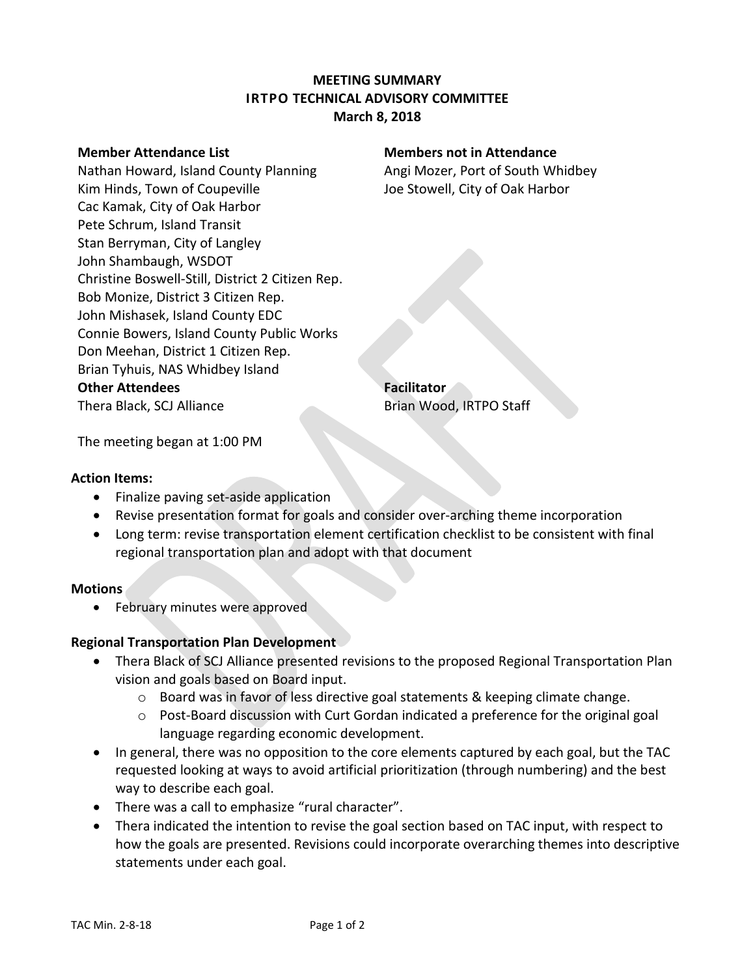# **MEETING SUMMARY IRTPO TECHNICAL ADVISORY COMMITTEE March 8, 2018**

Nathan Howard, Island County Planning **Angi Mozer, Port of South Whidbey** Kim Hinds, Town of Coupeville The Stowell, City of Oak Harbor Cac Kamak, City of Oak Harbor Pete Schrum, Island Transit Stan Berryman, City of Langley John Shambaugh, WSDOT Christine Boswell-Still, District 2 Citizen Rep. Bob Monize, District 3 Citizen Rep. John Mishasek, Island County EDC Connie Bowers, Island County Public Works Don Meehan, District 1 Citizen Rep. Brian Tyhuis, NAS Whidbey Island **Other Attendees Facilitator** Thera Black, SCJ Alliance Brian Wood, IRTPO Staff

### **Member Attendance List Members not in Attendance**

The meeting began at 1:00 PM

### **Action Items:**

- Finalize paving set-aside application
- Revise presentation format for goals and consider over-arching theme incorporation
- Long term: revise transportation element certification checklist to be consistent with final regional transportation plan and adopt with that document

### **Motions**

• February minutes were approved

### **Regional Transportation Plan Development**

- Thera Black of SCJ Alliance presented revisions to the proposed Regional Transportation Plan vision and goals based on Board input.
	- $\circ$  Board was in favor of less directive goal statements & keeping climate change.
	- o Post-Board discussion with Curt Gordan indicated a preference for the original goal language regarding economic development.
- In general, there was no opposition to the core elements captured by each goal, but the TAC requested looking at ways to avoid artificial prioritization (through numbering) and the best way to describe each goal.
- There was a call to emphasize "rural character".
- Thera indicated the intention to revise the goal section based on TAC input, with respect to how the goals are presented. Revisions could incorporate overarching themes into descriptive statements under each goal.